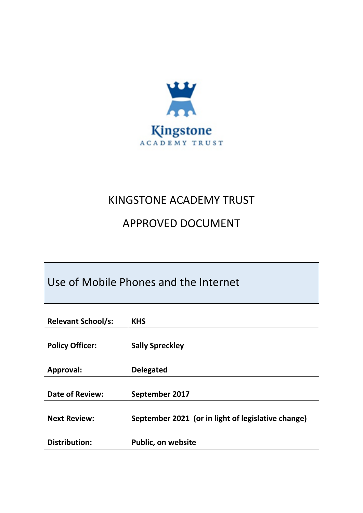

# KINGSTONE ACADEMY TRUST

# APPROVED DOCUMENT

| Use of Mobile Phones and the Internet |                                                    |
|---------------------------------------|----------------------------------------------------|
| <b>Relevant School/s:</b>             | <b>KHS</b>                                         |
| <b>Policy Officer:</b>                | <b>Sally Spreckley</b>                             |
| Approval:                             | <b>Delegated</b>                                   |
| <b>Date of Review:</b>                | September 2017                                     |
| <b>Next Review:</b>                   | September 2021 (or in light of legislative change) |
| <b>Distribution:</b>                  | <b>Public, on website</b>                          |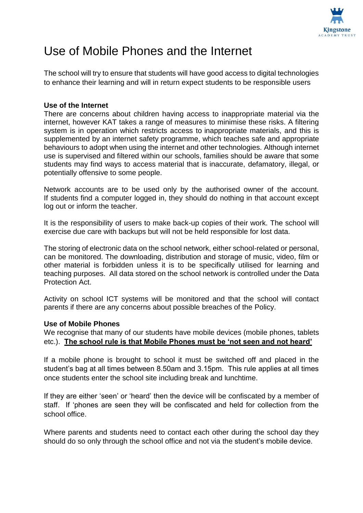

# Use of Mobile Phones and the Internet

The school will try to ensure that students will have good access to digital technologies to enhance their learning and will in return expect students to be responsible users

## **Use of the Internet**

There are concerns about children having access to inappropriate material via the internet, however KAT takes a range of measures to minimise these risks. A filtering system is in operation which restricts access to inappropriate materials, and this is supplemented by an internet safety programme, which teaches safe and appropriate behaviours to adopt when using the internet and other technologies. Although internet use is supervised and filtered within our schools, families should be aware that some students may find ways to access material that is inaccurate, defamatory, illegal, or potentially offensive to some people.

Network accounts are to be used only by the authorised owner of the account. If students find a computer logged in, they should do nothing in that account except log out or inform the teacher.

It is the responsibility of users to make back-up copies of their work. The school will exercise due care with backups but will not be held responsible for lost data.

The storing of electronic data on the school network, either school-related or personal, can be monitored. The downloading, distribution and storage of music, video, film or other material is forbidden unless it is to be specifically utilised for learning and teaching purposes. All data stored on the school network is controlled under the Data Protection Act.

Activity on school ICT systems will be monitored and that the school will contact parents if there are any concerns about possible breaches of the Policy.

### **Use of Mobile Phones**

We recognise that many of our students have mobile devices (mobile phones, tablets etc.). **The school rule is that Mobile Phones must be 'not seen and not heard'**

If a mobile phone is brought to school it must be switched off and placed in the student's bag at all times between 8.50am and 3.15pm. This rule applies at all times once students enter the school site including break and lunchtime.

If they are either 'seen' or 'heard' then the device will be confiscated by a member of staff. If 'phones are seen they will be confiscated and held for collection from the school office.

Where parents and students need to contact each other during the school day they should do so only through the school office and not via the student's mobile device.